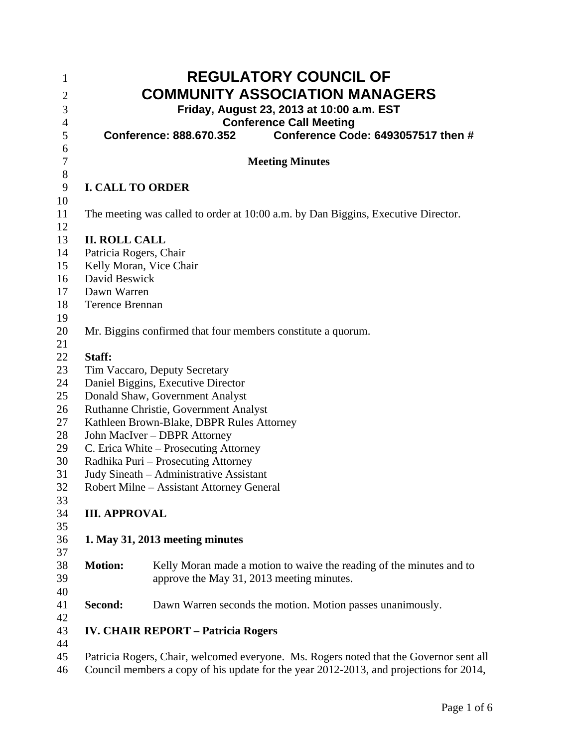| 1<br>$\overline{2}$<br>3 |                                                                       | <b>REGULATORY COUNCIL OF</b><br><b>COMMUNITY ASSOCIATION MANAGERS</b><br>Friday, August 23, 2013 at 10:00 a.m. EST |  |  |  |
|--------------------------|-----------------------------------------------------------------------|--------------------------------------------------------------------------------------------------------------------|--|--|--|
| $\overline{4}$           |                                                                       | <b>Conference Call Meeting</b>                                                                                     |  |  |  |
| 5                        |                                                                       | Conference Code: 6493057517 then #<br>Conference: 888.670.352                                                      |  |  |  |
| 6<br>7                   |                                                                       | <b>Meeting Minutes</b>                                                                                             |  |  |  |
| $8\,$                    |                                                                       |                                                                                                                    |  |  |  |
| 9                        | <b>I. CALL TO ORDER</b>                                               |                                                                                                                    |  |  |  |
| 10                       |                                                                       |                                                                                                                    |  |  |  |
| 11<br>12                 |                                                                       | The meeting was called to order at 10:00 a.m. by Dan Biggins, Executive Director.                                  |  |  |  |
| 13                       | <b>II. ROLL CALL</b>                                                  |                                                                                                                    |  |  |  |
| 14                       | Patricia Rogers, Chair                                                |                                                                                                                    |  |  |  |
| 15                       | Kelly Moran, Vice Chair                                               |                                                                                                                    |  |  |  |
| 16                       | David Beswick                                                         |                                                                                                                    |  |  |  |
| 17                       | Dawn Warren                                                           |                                                                                                                    |  |  |  |
| 18                       | <b>Terence Brennan</b>                                                |                                                                                                                    |  |  |  |
| 19                       |                                                                       |                                                                                                                    |  |  |  |
| 20                       | Mr. Biggins confirmed that four members constitute a quorum.          |                                                                                                                    |  |  |  |
| 21                       |                                                                       |                                                                                                                    |  |  |  |
| 22                       | Staff:                                                                |                                                                                                                    |  |  |  |
| 23                       | Tim Vaccaro, Deputy Secretary                                         |                                                                                                                    |  |  |  |
| 24                       | Daniel Biggins, Executive Director                                    |                                                                                                                    |  |  |  |
| 25                       | Donald Shaw, Government Analyst                                       |                                                                                                                    |  |  |  |
| 26<br>27                 | Ruthanne Christie, Government Analyst                                 |                                                                                                                    |  |  |  |
| 28                       | Kathleen Brown-Blake, DBPR Rules Attorney                             |                                                                                                                    |  |  |  |
| 29                       | John MacIver - DBPR Attorney<br>C. Erica White – Prosecuting Attorney |                                                                                                                    |  |  |  |
| 30                       | Radhika Puri - Prosecuting Attorney                                   |                                                                                                                    |  |  |  |
| 31                       | Judy Sineath - Administrative Assistant                               |                                                                                                                    |  |  |  |
| 32                       | Robert Milne – Assistant Attorney General                             |                                                                                                                    |  |  |  |
| 33                       |                                                                       |                                                                                                                    |  |  |  |
| 34                       | <b>III. APPROVAL</b>                                                  |                                                                                                                    |  |  |  |
| 35                       |                                                                       |                                                                                                                    |  |  |  |
| 36<br>37                 |                                                                       | 1. May 31, 2013 meeting minutes                                                                                    |  |  |  |
| 38                       | <b>Motion:</b>                                                        | Kelly Moran made a motion to waive the reading of the minutes and to                                               |  |  |  |
| 39                       |                                                                       | approve the May 31, 2013 meeting minutes.                                                                          |  |  |  |
| 40                       |                                                                       |                                                                                                                    |  |  |  |
| 41                       | Second:                                                               | Dawn Warren seconds the motion. Motion passes unanimously.                                                         |  |  |  |
| 42                       |                                                                       |                                                                                                                    |  |  |  |
| 43<br>44                 |                                                                       | <b>IV. CHAIR REPORT - Patricia Rogers</b>                                                                          |  |  |  |
| 45                       |                                                                       | Patricia Rogers, Chair, welcomed everyone. Ms. Rogers noted that the Governor sent all                             |  |  |  |
| 46                       |                                                                       | Council members a copy of his update for the year 2012-2013, and projections for 2014,                             |  |  |  |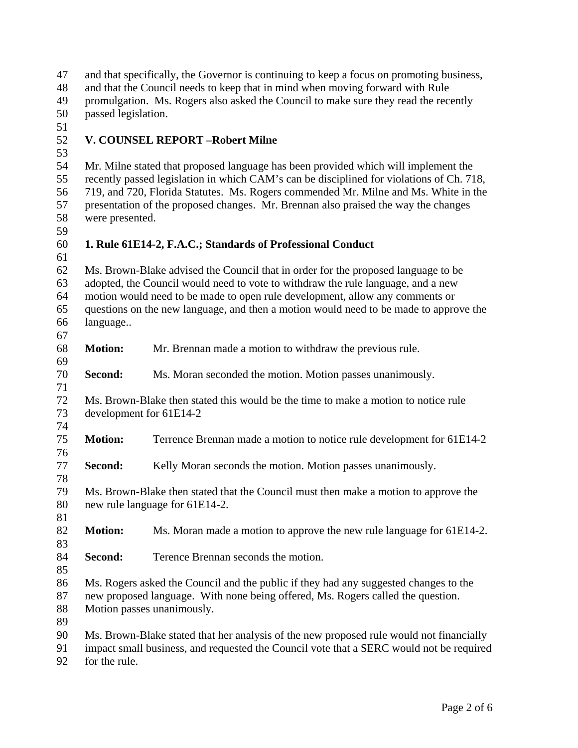| 47       |                                                                                                                                                                                 | and that specifically, the Governor is continuing to keep a focus on promoting business, |  |  |  |  |
|----------|---------------------------------------------------------------------------------------------------------------------------------------------------------------------------------|------------------------------------------------------------------------------------------|--|--|--|--|
| 48       | and that the Council needs to keep that in mind when moving forward with Rule                                                                                                   |                                                                                          |  |  |  |  |
| 49       | promulgation. Ms. Rogers also asked the Council to make sure they read the recently                                                                                             |                                                                                          |  |  |  |  |
| 50       |                                                                                                                                                                                 | passed legislation.                                                                      |  |  |  |  |
| 51       |                                                                                                                                                                                 |                                                                                          |  |  |  |  |
| 52       | V. COUNSEL REPORT-Robert Milne                                                                                                                                                  |                                                                                          |  |  |  |  |
| 53       |                                                                                                                                                                                 |                                                                                          |  |  |  |  |
| 54       |                                                                                                                                                                                 | Mr. Milne stated that proposed language has been provided which will implement the       |  |  |  |  |
| 55<br>56 | recently passed legislation in which CAM's can be disciplined for violations of Ch. 718,<br>719, and 720, Florida Statutes. Ms. Rogers commended Mr. Milne and Ms. White in the |                                                                                          |  |  |  |  |
| 57       |                                                                                                                                                                                 | presentation of the proposed changes. Mr. Brennan also praised the way the changes       |  |  |  |  |
| 58       | were presented.                                                                                                                                                                 |                                                                                          |  |  |  |  |
| 59       |                                                                                                                                                                                 |                                                                                          |  |  |  |  |
| 60       |                                                                                                                                                                                 | 1. Rule 61E14-2, F.A.C.; Standards of Professional Conduct                               |  |  |  |  |
| 61<br>62 |                                                                                                                                                                                 |                                                                                          |  |  |  |  |
|          | Ms. Brown-Blake advised the Council that in order for the proposed language to be                                                                                               |                                                                                          |  |  |  |  |
| 63       | adopted, the Council would need to vote to withdraw the rule language, and a new                                                                                                |                                                                                          |  |  |  |  |
| 64       | motion would need to be made to open rule development, allow any comments or                                                                                                    |                                                                                          |  |  |  |  |
| 65       | questions on the new language, and then a motion would need to be made to approve the                                                                                           |                                                                                          |  |  |  |  |
| 66       | language                                                                                                                                                                        |                                                                                          |  |  |  |  |
| 67       |                                                                                                                                                                                 |                                                                                          |  |  |  |  |
| 68       | <b>Motion:</b>                                                                                                                                                                  | Mr. Brennan made a motion to withdraw the previous rule.                                 |  |  |  |  |
| 69       |                                                                                                                                                                                 |                                                                                          |  |  |  |  |
| 70       | Second:                                                                                                                                                                         | Ms. Moran seconded the motion. Motion passes unanimously.                                |  |  |  |  |
| 71       |                                                                                                                                                                                 |                                                                                          |  |  |  |  |
| 72       | Ms. Brown-Blake then stated this would be the time to make a motion to notice rule                                                                                              |                                                                                          |  |  |  |  |
| 73       |                                                                                                                                                                                 | development for 61E14-2                                                                  |  |  |  |  |
| 74       |                                                                                                                                                                                 |                                                                                          |  |  |  |  |
| 75       | <b>Motion:</b>                                                                                                                                                                  | Terrence Brennan made a motion to notice rule development for 61E14-2                    |  |  |  |  |
| 76       |                                                                                                                                                                                 |                                                                                          |  |  |  |  |
| 77       | Second:                                                                                                                                                                         | Kelly Moran seconds the motion. Motion passes unanimously.                               |  |  |  |  |
| 78       |                                                                                                                                                                                 |                                                                                          |  |  |  |  |
| 79       |                                                                                                                                                                                 | Ms. Brown-Blake then stated that the Council must then make a motion to approve the      |  |  |  |  |
| 80       |                                                                                                                                                                                 | new rule language for 61E14-2.                                                           |  |  |  |  |
| 81       |                                                                                                                                                                                 |                                                                                          |  |  |  |  |
| 82       | <b>Motion:</b>                                                                                                                                                                  | Ms. Moran made a motion to approve the new rule language for 61E14-2.                    |  |  |  |  |
| 83       |                                                                                                                                                                                 |                                                                                          |  |  |  |  |
| 84       | Second:                                                                                                                                                                         | Terence Brennan seconds the motion.                                                      |  |  |  |  |
| 85       |                                                                                                                                                                                 |                                                                                          |  |  |  |  |
| 86       |                                                                                                                                                                                 | Ms. Rogers asked the Council and the public if they had any suggested changes to the     |  |  |  |  |
| 87       | new proposed language. With none being offered, Ms. Rogers called the question.                                                                                                 |                                                                                          |  |  |  |  |
| 88       | Motion passes unanimously.                                                                                                                                                      |                                                                                          |  |  |  |  |
| 89       |                                                                                                                                                                                 |                                                                                          |  |  |  |  |
| 90       |                                                                                                                                                                                 | Ms. Brown-Blake stated that her analysis of the new proposed rule would not financially  |  |  |  |  |
| 91       |                                                                                                                                                                                 | impact small business, and requested the Council vote that a SERC would not be required  |  |  |  |  |
| 92       | for the rule.                                                                                                                                                                   |                                                                                          |  |  |  |  |
|          |                                                                                                                                                                                 |                                                                                          |  |  |  |  |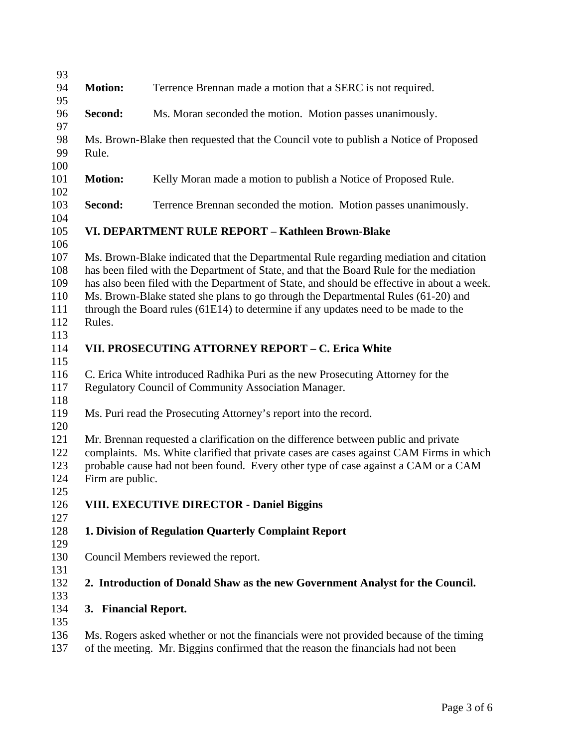| 93         |                                                                                            |                                                                                        |  |  |
|------------|--------------------------------------------------------------------------------------------|----------------------------------------------------------------------------------------|--|--|
| 94<br>95   | <b>Motion:</b>                                                                             | Terrence Brennan made a motion that a SERC is not required.                            |  |  |
| 96         | Second:                                                                                    | Ms. Moran seconded the motion. Motion passes unanimously.                              |  |  |
| 97         |                                                                                            |                                                                                        |  |  |
| 98<br>99   | Rule.                                                                                      | Ms. Brown-Blake then requested that the Council vote to publish a Notice of Proposed   |  |  |
| 100        |                                                                                            |                                                                                        |  |  |
| 101<br>102 | <b>Motion:</b>                                                                             | Kelly Moran made a motion to publish a Notice of Proposed Rule.                        |  |  |
| 103        | Second:                                                                                    | Terrence Brennan seconded the motion. Motion passes unanimously.                       |  |  |
| 104        |                                                                                            |                                                                                        |  |  |
| 105        |                                                                                            | VI. DEPARTMENT RULE REPORT - Kathleen Brown-Blake                                      |  |  |
| 106        |                                                                                            |                                                                                        |  |  |
| 107        | Ms. Brown-Blake indicated that the Departmental Rule regarding mediation and citation      |                                                                                        |  |  |
| 108        | has been filed with the Department of State, and that the Board Rule for the mediation     |                                                                                        |  |  |
| 109        | has also been filed with the Department of State, and should be effective in about a week. |                                                                                        |  |  |
| 110        | Ms. Brown-Blake stated she plans to go through the Departmental Rules (61-20) and          |                                                                                        |  |  |
| 111        | through the Board rules (61E14) to determine if any updates need to be made to the         |                                                                                        |  |  |
| 112        | Rules.                                                                                     |                                                                                        |  |  |
| 113        |                                                                                            |                                                                                        |  |  |
| 114<br>115 |                                                                                            | VII. PROSECUTING ATTORNEY REPORT - C. Erica White                                      |  |  |
| 116        |                                                                                            | C. Erica White introduced Radhika Puri as the new Prosecuting Attorney for the         |  |  |
| 117        | Regulatory Council of Community Association Manager.                                       |                                                                                        |  |  |
| 118        |                                                                                            |                                                                                        |  |  |
| 119        |                                                                                            | Ms. Puri read the Prosecuting Attorney's report into the record.                       |  |  |
| 120        |                                                                                            |                                                                                        |  |  |
| 121        |                                                                                            | Mr. Brennan requested a clarification on the difference between public and private     |  |  |
| 122        | complaints. Ms. White clarified that private cases are cases against CAM Firms in which    |                                                                                        |  |  |
| 123        | probable cause had not been found. Every other type of case against a CAM or a CAM         |                                                                                        |  |  |
| 124        | Firm are public.                                                                           |                                                                                        |  |  |
| 125        |                                                                                            |                                                                                        |  |  |
| 126        |                                                                                            | <b>VIII. EXECUTIVE DIRECTOR - Daniel Biggins</b>                                       |  |  |
| 127        |                                                                                            |                                                                                        |  |  |
| 128        |                                                                                            | 1. Division of Regulation Quarterly Complaint Report                                   |  |  |
| 129        |                                                                                            |                                                                                        |  |  |
| 130        |                                                                                            | Council Members reviewed the report.                                                   |  |  |
| 131        |                                                                                            |                                                                                        |  |  |
| 132        |                                                                                            | 2. Introduction of Donald Shaw as the new Government Analyst for the Council.          |  |  |
| 133        |                                                                                            |                                                                                        |  |  |
| 134        | 3. Financial Report.                                                                       |                                                                                        |  |  |
| 135        |                                                                                            |                                                                                        |  |  |
| 136        |                                                                                            | Ms. Rogers asked whether or not the financials were not provided because of the timing |  |  |
| 137        |                                                                                            | of the meeting. Mr. Biggins confirmed that the reason the financials had not been      |  |  |
|            |                                                                                            |                                                                                        |  |  |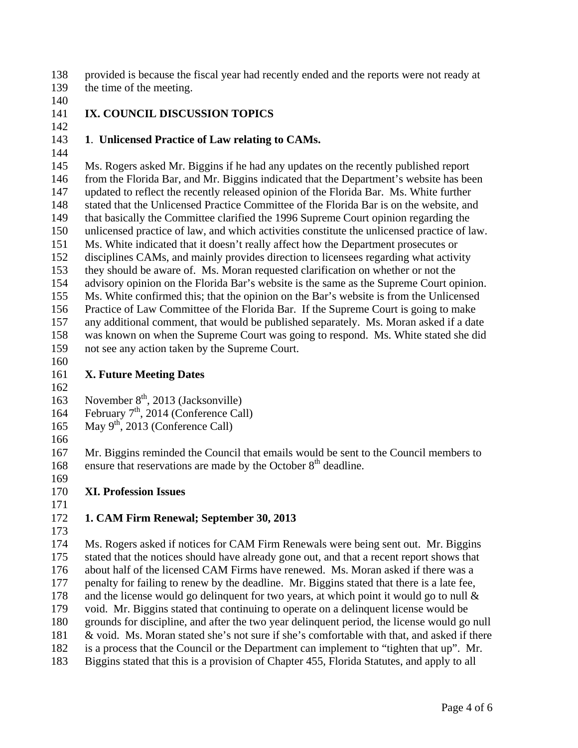provided is because the fiscal year had recently ended and the reports were not ready at the time of the meeting. 138 139

- 140
- 141

# 142 **IX. COUNCIL DISCUSSION TOPICS**

#### 143 **1**. **Unlicensed Practice of Law relating to CAMs.**

144

145 146 147 148 149 150 151 152 153 154 155 156 157 158 159 Ms. Rogers asked Mr. Biggins if he had any updates on the recently published report from the Florida Bar, and Mr. Biggins indicated that the Department's website has been updated to reflect the recently released opinion of the Florida Bar. Ms. White further stated that the Unlicensed Practice Committee of the Florida Bar is on the website, and that basically the Committee clarified the 1996 Supreme Court opinion regarding the unlicensed practice of law, and which activities constitute the unlicensed practice of law. Ms. White indicated that it doesn't really affect how the Department prosecutes or disciplines CAMs, and mainly provides direction to licensees regarding what activity they should be aware of. Ms. Moran requested clarification on whether or not the advisory opinion on the Florida Bar's website is the same as the Supreme Court opinion. Ms. White confirmed this; that the opinion on the Bar's website is from the Unlicensed Practice of Law Committee of the Florida Bar. If the Supreme Court is going to make any additional comment, that would be published separately. Ms. Moran asked if a date was known on when the Supreme Court was going to respond. Ms. White stated she did not see any action taken by the Supreme Court.

160

#### 161 **X. Future Meeting Dates**

- 162 163 November  $8<sup>th</sup>$ , 2013 (Jacksonville)
- 164 February 7<sup>th</sup>, 2014 (Conference Call)
- 165 May  $9<sup>th</sup>$ , 2013 (Conference Call)
- 166

167 168 Mr. Biggins reminded the Council that emails would be sent to the Council members to ensure that reservations are made by the October  $8<sup>th</sup>$  deadline.

- 169 170 **XI. Profession Issues**
- 171

## 172 **1. CAM Firm Renewal; September 30, 2013**

173

174 175 176 177 178 179 180 181 182 183 Ms. Rogers asked if notices for CAM Firm Renewals were being sent out. Mr. Biggins stated that the notices should have already gone out, and that a recent report shows that about half of the licensed CAM Firms have renewed. Ms. Moran asked if there was a penalty for failing to renew by the deadline. Mr. Biggins stated that there is a late fee, and the license would go delinquent for two years, at which point it would go to null  $\&$ void. Mr. Biggins stated that continuing to operate on a delinquent license would be grounds for discipline, and after the two year delinquent period, the license would go null & void. Ms. Moran stated she's not sure if she's comfortable with that, and asked if there is a process that the Council or the Department can implement to "tighten that up". Mr. Biggins stated that this is a provision of Chapter 455, Florida Statutes, and apply to all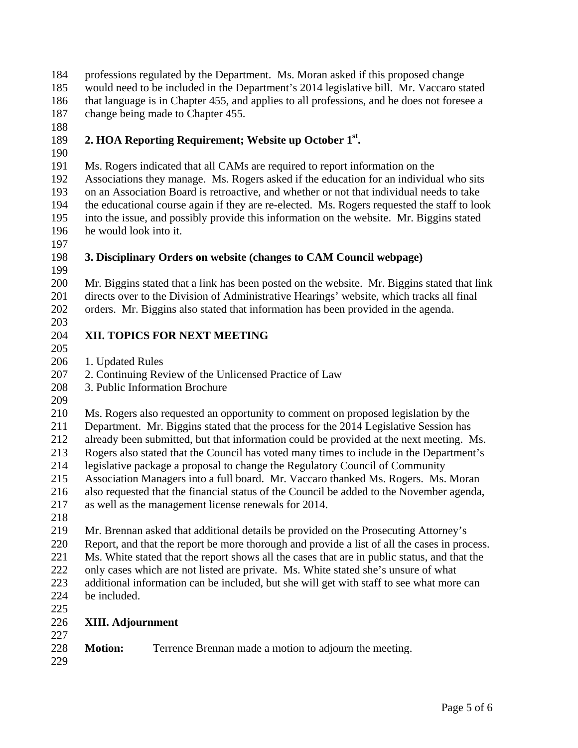professions regulated by the Department. Ms. Moran asked if this proposed change 184

would need to be included in the Department's 2014 legislative bill. Mr. Vaccaro stated that language is in Chapter 455, and applies to all professions, and he does not foresee a change being made to Chapter 455. 185 186 187

188

#### 189 **2. HOA Reporting Requirement; Website up October 1st.**

190

191 192 193 194 195 196 Ms. Rogers indicated that all CAMs are required to report information on the Associations they manage. Ms. Rogers asked if the education for an individual who sits on an Association Board is retroactive, and whether or not that individual needs to take the educational course again if they are re-elected. Ms. Rogers requested the staff to look into the issue, and possibly provide this information on the website. Mr. Biggins stated he would look into it.

- 197
- 198

# **3. Disciplinary Orders on website (changes to CAM Council webpage)**

199 200 201 202 203 Mr. Biggins stated that a link has been posted on the website. Mr. Biggins stated that link directs over to the Division of Administrative Hearings' website, which tracks all final orders. Mr. Biggins also stated that information has been provided in the agenda.

#### 204 **XII. TOPICS FOR NEXT MEETING**

- 205
- 206 1. Updated Rules
- 207 2. Continuing Review of the Unlicensed Practice of Law
- 208 3. Public Information Brochure
- 209

210 211 Ms. Rogers also requested an opportunity to comment on proposed legislation by the Department. Mr. Biggins stated that the process for the 2014 Legislative Session has

212 already been submitted, but that information could be provided at the next meeting. Ms.

213 Rogers also stated that the Council has voted many times to include in the Department's

- 214 legislative package a proposal to change the Regulatory Council of Community
- 215 Association Managers into a full board. Mr. Vaccaro thanked Ms. Rogers. Ms. Moran
- 216 also requested that the financial status of the Council be added to the November agenda,
- 217 as well as the management license renewals for 2014.
- 218

219 Mr. Brennan asked that additional details be provided on the Prosecuting Attorney's

220 Report, and that the report be more thorough and provide a list of all the cases in process.

221 Ms. White stated that the report shows all the cases that are in public status, and that the

222 only cases which are not listed are private. Ms. White stated she's unsure of what

223 224 additional information can be included, but she will get with staff to see what more can be included.

- 225
- 226 **XIII. Adjournment**

## 228 **Motion:** Terrence Brennan made a motion to adjourn the meeting.

229

227